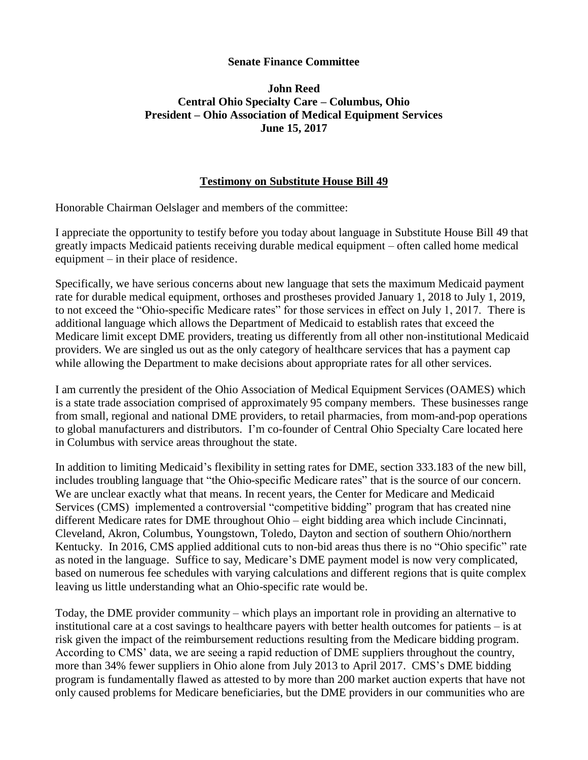## **Senate Finance Committee**

## **John Reed Central Ohio Specialty Care – Columbus, Ohio President – Ohio Association of Medical Equipment Services June 15, 2017**

## **Testimony on Substitute House Bill 49**

Honorable Chairman Oelslager and members of the committee:

I appreciate the opportunity to testify before you today about language in Substitute House Bill 49 that greatly impacts Medicaid patients receiving durable medical equipment – often called home medical equipment – in their place of residence.

Specifically, we have serious concerns about new language that sets the maximum Medicaid payment rate for durable medical equipment, orthoses and prostheses provided January 1, 2018 to July 1, 2019, to not exceed the "Ohio-specific Medicare rates" for those services in effect on July 1, 2017. There is additional language which allows the Department of Medicaid to establish rates that exceed the Medicare limit except DME providers, treating us differently from all other non-institutional Medicaid providers. We are singled us out as the only category of healthcare services that has a payment cap while allowing the Department to make decisions about appropriate rates for all other services.

I am currently the president of the Ohio Association of Medical Equipment Services (OAMES) which is a state trade association comprised of approximately 95 company members. These businesses range from small, regional and national DME providers, to retail pharmacies, from mom-and-pop operations to global manufacturers and distributors. I'm co-founder of Central Ohio Specialty Care located here in Columbus with service areas throughout the state.

In addition to limiting Medicaid's flexibility in setting rates for DME, section 333.183 of the new bill, includes troubling language that "the Ohio-specific Medicare rates" that is the source of our concern. We are unclear exactly what that means. In recent years, the Center for Medicare and Medicaid Services (CMS) implemented a controversial "competitive bidding" program that has created nine different Medicare rates for DME throughout Ohio – eight bidding area which include Cincinnati, Cleveland, Akron, Columbus, Youngstown, Toledo, Dayton and section of southern Ohio/northern Kentucky. In 2016, CMS applied additional cuts to non-bid areas thus there is no "Ohio specific" rate as noted in the language. Suffice to say, Medicare's DME payment model is now very complicated, based on numerous fee schedules with varying calculations and different regions that is quite complex leaving us little understanding what an Ohio-specific rate would be.

Today, the DME provider community – which plays an important role in providing an alternative to institutional care at a cost savings to healthcare payers with better health outcomes for patients – is at risk given the impact of the reimbursement reductions resulting from the Medicare bidding program. According to CMS' data, we are seeing a rapid reduction of DME suppliers throughout the country, more than 34% fewer suppliers in Ohio alone from July 2013 to April 2017. CMS's DME bidding program is fundamentally flawed as attested to by more than 200 market auction experts that have not only caused problems for Medicare beneficiaries, but the DME providers in our communities who are